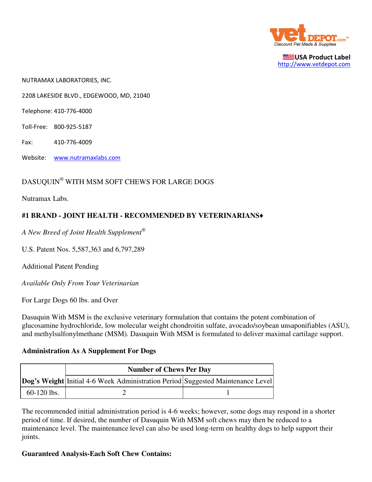

USA Product Label http://www.vetdepot.com

NUTRAMAX LABORATORIES, INC.

2208 LAKESIDE BLVD., EDGEWOOD, MD, 21040

Telephone: 410-776-4000

Toll-Free: 800-925-5187

Fax: 410-776-4009

Website: www.nutramaxlabs.com

## DASUQUIN® WITH MSM SOFT CHEWS FOR LARGE DOGS

Nutramax Labs.

## **#1 BRAND - JOINT HEALTH - RECOMMENDED BY VETERINARIANS**♦

*A New Breed of Joint Health Supplement*®

U.S. Patent Nos. 5,587,363 and 6,797,289

Additional Patent Pending

*Available Only From Your Veterinarian*

For Large Dogs 60 lbs. and Over

Dasuquin With MSM is the exclusive veterinary formulation that contains the potent combination of glucosamine hydrochloride, low molecular weight chondroitin sulfate, avocado/soybean unsaponifiables (ASU), and methylsulfonylmethane (MSM). Dasuquin With MSM is formulated to deliver maximal cartilage support.

## **Administration As A Supplement For Dogs**

|               | <b>Number of Chews Per Day</b>                                                         |  |
|---------------|----------------------------------------------------------------------------------------|--|
|               | <b>Dog's Weight</b> Initial 4-6 Week Administration Period Suggested Maintenance Level |  |
| $60-120$ lbs. |                                                                                        |  |

The recommended initial administration period is 4-6 weeks; however, some dogs may respond in a shorter period of time. If desired, the number of Dasuquin With MSM soft chews may then be reduced to a maintenance level. The maintenance level can also be used long-term on healthy dogs to help support their joints.

## **Guaranteed Analysis-Each Soft Chew Contains:**